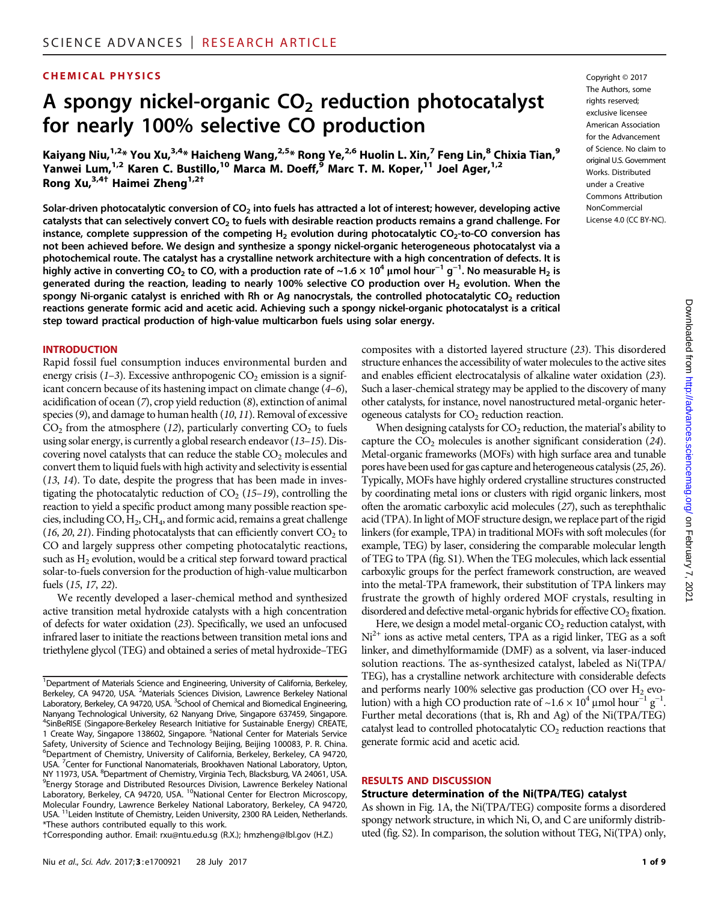# CHEMICAL PHYSICS Copyright © 2017

# A spongy nickel-organic  $CO<sub>2</sub>$  reduction photocatalyst for nearly 100% selective CO production

Kaiyang Niu,<sup>1,2</sup>\* You Xu,<sup>3,4</sup>\* Haicheng Wang,<sup>2,5</sup>\* Rong Ye,<sup>2,6</sup> Huolin L. Xin,<sup>7</sup> Feng Lin,<sup>8</sup> Chixia Tian,<sup>9</sup> Yanwei Lum,<sup>1,2</sup> Karen C. Bustillo,<sup>10</sup> Marca M. Doeff,<sup>9</sup> Marc T. M. Koper,<sup>11</sup> Joel Ager,<sup>1,2</sup> Rong Xu,3,4† Haimei Zheng1,2†

Solar-driven photocatalytic conversion of  $CO<sub>2</sub>$  into fuels has attracted a lot of interest; however, developing active catalysts that can selectively convert  $CO<sub>2</sub>$  to fuels with desirable reaction products remains a grand challenge. For instance, complete suppression of the competing  $H_2$  evolution during photocatalytic CO<sub>2</sub>-to-CO conversion has not been achieved before. We design and synthesize a spongy nickel-organic heterogeneous photocatalyst via a photochemical route. The catalyst has a crystalline network architecture with a high concentration of defects. It is highly active in converting CO<sub>2</sub> to CO, with a production rate of ~1.6  $\times$  10<sup>4</sup> µmol hour<sup>−1</sup> g<sup>−1</sup>. No measurable H<sub>2</sub> is generated during the reaction, leading to nearly 100% selective CO production over  $H_2$  evolution. When the spongy Ni-organic catalyst is enriched with Rh or Ag nanocrystals, the controlled photocatalytic  $CO<sub>2</sub>$  reduction reactions generate formic acid and acetic acid. Achieving such a spongy nickel-organic photocatalyst is a critical step toward practical production of high-value multicarbon fuels using solar energy.

#### **INTRODUCTION**

Rapid fossil fuel consumption induces environmental burden and energy crisis  $(1-3)$ . Excessive anthropogenic  $CO<sub>2</sub>$  emission is a significant concern because of its hastening impact on climate change (4–6), acidification of ocean (7), crop yield reduction (8), extinction of animal species (9), and damage to human health (10, 11). Removal of excessive  $CO<sub>2</sub>$  from the atmosphere (12), particularly converting  $CO<sub>2</sub>$  to fuels using solar energy, is currently a global research endeavor (13–15). Discovering novel catalysts that can reduce the stable  $CO<sub>2</sub>$  molecules and convert them to liquid fuels with high activity and selectivity is essential (13, 14). To date, despite the progress that has been made in investigating the photocatalytic reduction of  $CO<sub>2</sub>$  (15–19), controlling the reaction to yield a specific product among many possible reaction species, including  $CO, H_2, CH_4$ , and formic acid, remains a great challenge (16, 20, 21). Finding photocatalysts that can efficiently convert  $CO<sub>2</sub>$  to CO and largely suppress other competing photocatalytic reactions, such as  $H_2$  evolution, would be a critical step forward toward practical solar-to-fuels conversion for the production of high-value multicarbon fuels (15, 17, 22).

We recently developed a laser-chemical method and synthesized active transition metal hydroxide catalysts with a high concentration of defects for water oxidation (23). Specifically, we used an unfocused infrared laser to initiate the reactions between transition metal ions and triethylene glycol (TEG) and obtained a series of metal hydroxide–TEG

†Corresponding author. Email: rxu@ntu.edu.sg (R.X.); hmzheng@lbl.gov (H.Z.)

The Authors, some rights reserved; exclusive licensee American Association for the Advancement of Science. No claim to original U.S. Government Works. Distributed under a Creative Commons Attribution NonCommercial License 4.0 (CC BY-NC).

composites with a distorted layered structure (23). This disordered structure enhances the accessibility of water molecules to the active sites and enables efficient electrocatalysis of alkaline water oxidation (23). Such a laser-chemical strategy may be applied to the discovery of many other catalysts, for instance, novel nanostructured metal-organic heterogeneous catalysts for  $CO<sub>2</sub>$  reduction reaction.

When designing catalysts for  $CO<sub>2</sub>$  reduction, the material's ability to capture the  $CO<sub>2</sub>$  molecules is another significant consideration (24). Metal-organic frameworks (MOFs) with high surface area and tunable pores have been used for gas capture and heterogeneous catalysis (25, 26). Typically, MOFs have highly ordered crystalline structures constructed by coordinating metal ions or clusters with rigid organic linkers, most often the aromatic carboxylic acid molecules (27), such as terephthalic acid (TPA). In light of MOF structure design, we replace part of the rigid linkers (for example, TPA) in traditional MOFs with soft molecules (for example, TEG) by laser, considering the comparable molecular length of TEG to TPA (fig. S1). When the TEG molecules, which lack essential carboxylic groups for the perfect framework construction, are weaved into the metal-TPA framework, their substitution of TPA linkers may frustrate the growth of highly ordered MOF crystals, resulting in disordered and defective metal-organic hybrids for effective  $CO<sub>2</sub>$  fixation.

Here, we design a model metal-organic  $CO<sub>2</sub>$  reduction catalyst, with  $Ni<sup>2+</sup>$  ions as active metal centers, TPA as a rigid linker, TEG as a soft linker, and dimethylformamide (DMF) as a solvent, via laser-induced solution reactions. The as-synthesized catalyst, labeled as Ni(TPA/ TEG), has a crystalline network architecture with considerable defects and performs nearly 100% selective gas production (CO over  $H_2$  evolution) with a high CO production rate of ~1.6 × 10<sup>4</sup> µmol hour<sup>-1</sup> g<sup>-1</sup>. Further metal decorations (that is, Rh and Ag) of the Ni(TPA/TEG) catalyst lead to controlled photocatalytic  $CO<sub>2</sub>$  reduction reactions that generate formic acid and acetic acid.

#### RESULTS AND DISCUSSION

#### Structure determination of the Ni(TPA/TEG) catalyst

As shown in Fig. 1A, the Ni(TPA/TEG) composite forms a disordered spongy network structure, in which Ni, O, and C are uniformly distributed (fig. S2). In comparison, the solution without TEG, Ni(TPA) only,

<sup>&</sup>lt;sup>1</sup>Department of Materials Science and Engineering, University of California, Berkeley, Berkeley, CA 94720, USA. <sup>2</sup>Materials Sciences Division, Lawrence Berkeley National Laboratory, Berkeley, CA 94720, USA. <sup>3</sup>School of Chemical and Biomedical Engineering, Nanyang Technological University, 62 Nanyang Drive, Singapore 637459, Singapore. <sup>4</sup> <sup>4</sup>SinBeRISE (Singapore-Berkeley Research Initiative for Sustainable Energy) CREATE, 1 Create Way, Singapore 138602, Singapore. <sup>5</sup>National Center for Materials Service Safety, University of Science and Technology Beijing, Beijing 100083, P. R. China. 6 Department of Chemistry, University of California, Berkeley, Berkeley, CA 94720, USA. <sup>7</sup>Center for Functional Nanomaterials, Brookhaven National Laboratory, Upton, NY 11973, USA. <sup>8</sup>Department of Chemistry, Virginia Tech, Blacksburg, VA 24061, USA.<br><sup>9</sup>Energy Storage and Distributed Resources Division, Lawrence Berkeley National <sup>9</sup> Energy Storage and Distributed Resources Division, Lawrence Berkeley National Laboratory, Berkeley, CA 94720, USA. <sup>10</sup>National Center for Electron Microscopy, Molecular Foundry, Lawrence Berkeley National Laboratory, Berkeley, CA 94720, USA. <sup>11</sup>Leiden Institute of Chemistry, Leiden University, 2300 RA Leiden, Netherlands. \*These authors contributed equally to this work.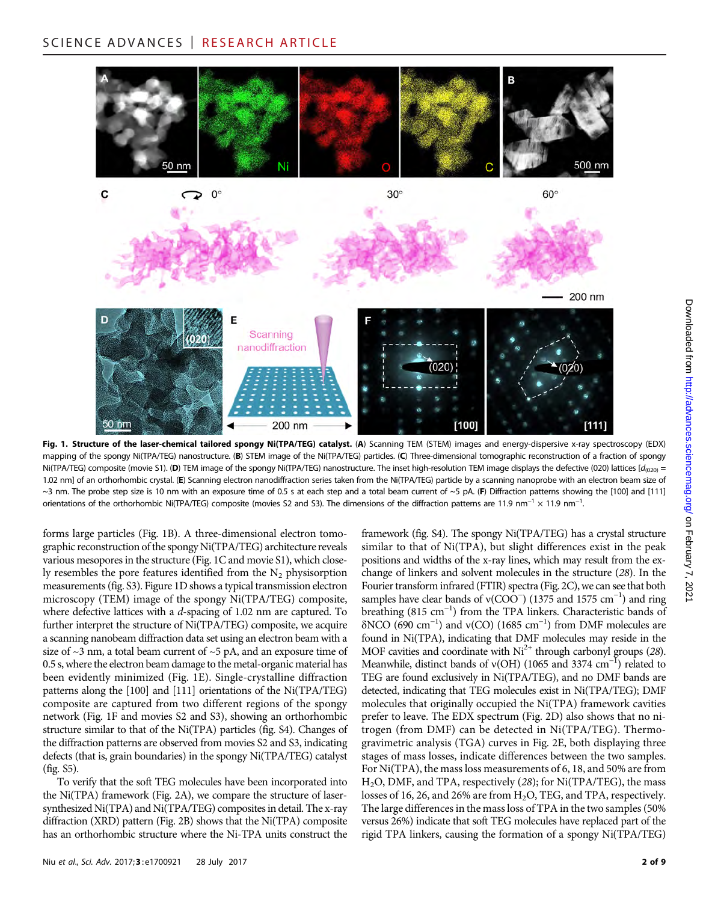

Fig. 1. Structure of the laser-chemical tailored spongy Ni(TPA/TEG) catalyst. (A) Scanning TEM (STEM) images and energy-dispersive x-ray spectroscopy (EDX) mapping of the spongy Ni(TPA/TEG) nanostructure. (B) STEM image of the Ni(TPA/TEG) particles. (C) Three-dimensional tomographic reconstruction of a fraction of spongy Ni(TPA/TEG) composite (movie S1). (D) TEM image of the spongy Ni(TPA/TEG) nanostructure. The inset high-resolution TEM image displays the defective (020) lattices [ $d_{020}$  = 1.02 nm] of an orthorhombic crystal. (E) Scanning electron nanodiffraction series taken from the Ni(TPA/TEG) particle by a scanning nanoprobe with an electron beam size of ~3 nm. The probe step size is 10 nm with an exposure time of 0.5 s at each step and a total beam current of ~5 pA. (F) Diffraction patterns showing the [100] and [111] orientations of the orthorhombic Ni(TPA/TEG) composite (movies S2 and S3). The dimensions of the diffraction patterns are 11.9 nm<sup>-1</sup> × 11.9 nm<sup>-1</sup>. .

forms large particles (Fig. 1B). A three-dimensional electron tomographic reconstruction of the spongy Ni(TPA/TEG) architecture reveals various mesopores in the structure (Fig. 1C and movie S1), which closely resembles the pore features identified from the  $N<sub>2</sub>$  physisorption measurements (fig. S3). Figure 1D shows a typical transmission electron microscopy (TEM) image of the spongy Ni(TPA/TEG) composite, where defective lattices with a d-spacing of 1.02 nm are captured. To further interpret the structure of Ni(TPA/TEG) composite, we acquire a scanning nanobeam diffraction data set using an electron beam with a size of  $\sim$ 3 nm, a total beam current of  $\sim$ 5 pA, and an exposure time of 0.5 s, where the electron beam damage to the metal-organic material has been evidently minimized (Fig. 1E). Single-crystalline diffraction patterns along the [100] and [111] orientations of the Ni(TPA/TEG) composite are captured from two different regions of the spongy network (Fig. 1F and movies S2 and S3), showing an orthorhombic structure similar to that of the Ni(TPA) particles (fig. S4). Changes of the diffraction patterns are observed from movies S2 and S3, indicating defects (that is, grain boundaries) in the spongy Ni(TPA/TEG) catalyst (fig. S5).

To verify that the soft TEG molecules have been incorporated into the Ni(TPA) framework (Fig. 2A), we compare the structure of lasersynthesized Ni(TPA) and Ni(TPA/TEG) composites in detail. The x-ray diffraction (XRD) pattern (Fig. 2B) shows that the Ni(TPA) composite has an orthorhombic structure where the Ni-TPA units construct the framework (fig. S4). The spongy Ni(TPA/TEG) has a crystal structure similar to that of Ni(TPA), but slight differences exist in the peak positions and widths of the x-ray lines, which may result from the exchange of linkers and solvent molecules in the structure (28). In the Fourier transform infrared (FTIR) spectra (Fig. 2C), we can see that both samples have clear bands of v( $COO^-$ ) (1375 and 1575 cm<sup>-1</sup>) and ring breathing (815 cm−<sup>1</sup> ) from the TPA linkers. Characteristic bands of  $\delta$ NCO (690 cm<sup>-1</sup>) and v(CO) (1685 cm<sup>-1</sup>) from DMF molecules are found in Ni(TPA), indicating that DMF molecules may reside in the MOF cavities and coordinate with  $Ni^{2+}$  through carbonyl groups (28). Meanwhile, distinct bands of v(OH) (1065 and 3374 cm<sup>-1</sup>) related to TEG are found exclusively in Ni(TPA/TEG), and no DMF bands are detected, indicating that TEG molecules exist in Ni(TPA/TEG); DMF molecules that originally occupied the Ni(TPA) framework cavities prefer to leave. The EDX spectrum (Fig. 2D) also shows that no nitrogen (from DMF) can be detected in Ni(TPA/TEG). Thermogravimetric analysis (TGA) curves in Fig. 2E, both displaying three stages of mass losses, indicate differences between the two samples. For Ni(TPA), the mass loss measurements of 6, 18, and 50% are from H2O, DMF, and TPA, respectively (28); for Ni(TPA/TEG), the mass losses of 16, 26, and 26% are from  $H_2O$ , TEG, and TPA, respectively. The large differences in the mass loss of TPA in the two samples (50% versus 26%) indicate that soft TEG molecules have replaced part of the rigid TPA linkers, causing the formation of a spongy Ni(TPA/TEG)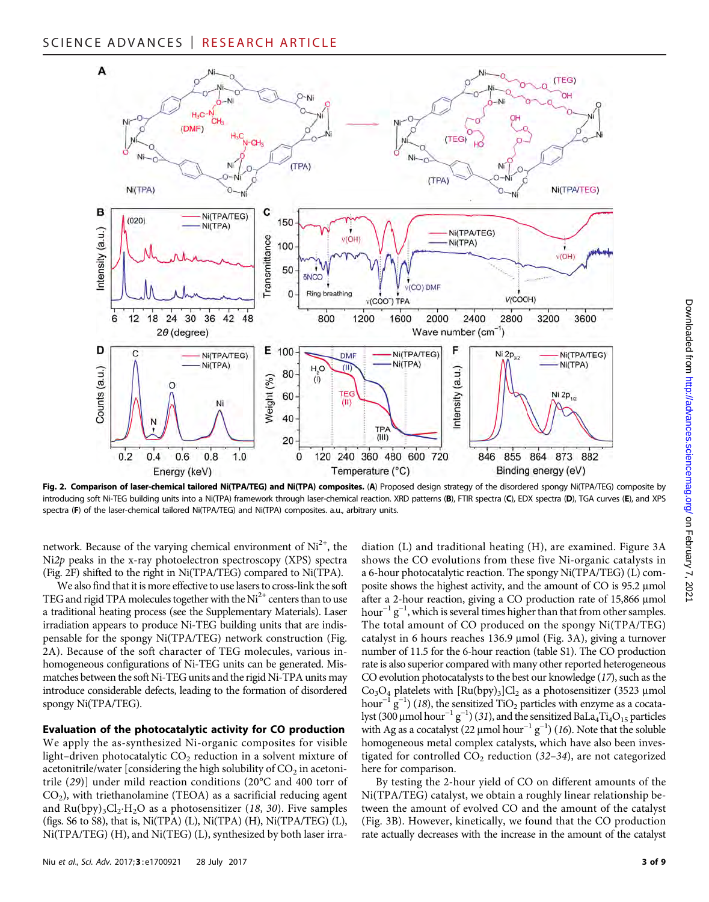# SCIENCE ADVANCES | RESEARCH ARTICLE



Fig. 2. Comparison of laser-chemical tailored Ni(TPA/TEG) and Ni(TPA) composites. (A) Proposed design strategy of the disordered spongy Ni(TPA/TEG) composite by introducing soft Ni-TEG building units into a Ni(TPA) framework through laser-chemical reaction. XRD patterns (B), FTIR spectra (C), EDX spectra (D), TGA curves (E), and XPS spectra (F) of the laser-chemical tailored Ni(TPA/TEG) and Ni(TPA) composites. a.u., arbitrary units.

network. Because of the varying chemical environment of  $Ni<sup>2+</sup>$ , the Ni2p peaks in the x-ray photoelectron spectroscopy (XPS) spectra (Fig. 2F) shifted to the right in Ni(TPA/TEG) compared to Ni(TPA).

We also find that it is more effective to use lasers to cross-link the soft TEG and rigid TPA molecules together with the  $Ni<sup>2+</sup>$  centers than to use a traditional heating process (see the Supplementary Materials). Laser irradiation appears to produce Ni-TEG building units that are indispensable for the spongy Ni(TPA/TEG) network construction (Fig. 2A). Because of the soft character of TEG molecules, various inhomogeneous configurations of Ni-TEG units can be generated. Mismatches between the soft Ni-TEG units and the rigid Ni-TPA units may introduce considerable defects, leading to the formation of disordered spongy Ni(TPA/TEG).

#### Evaluation of the photocatalytic activity for CO production

We apply the as-synthesized Ni-organic composites for visible light–driven photocatalytic  $CO<sub>2</sub>$  reduction in a solvent mixture of acetonitrile/water [considering the high solubility of  $CO<sub>2</sub>$  in acetonitrile (29)] under mild reaction conditions (20°C and 400 torr of  $CO<sub>2</sub>$ ), with triethanolamine (TEOA) as a sacrificial reducing agent and  $Ru(bpy)_3Cl_2·H_2O$  as a photosensitizer (18, 30). Five samples (figs.  $S6$  to  $S8$ ), that is, Ni(TPA) (L), Ni(TPA) (H), Ni(TPA/TEG) (L), Ni(TPA/TEG) (H), and Ni(TEG) (L), synthesized by both laser irra-

diation (L) and traditional heating (H), are examined. Figure 3A shows the CO evolutions from these five Ni-organic catalysts in a 6-hour photocatalytic reaction. The spongy Ni(TPA/TEG) (L) composite shows the highest activity, and the amount of CO is 95.2 µmol after a 2-hour reaction, giving a CO production rate of 15,866 µmol hour<sup>-1</sup> g<sup>-1</sup>, which is several times higher than that from other samples. The total amount of CO produced on the spongy Ni(TPA/TEG) catalyst in 6 hours reaches  $136.9 \mu$ mol (Fig. 3A), giving a turnover number of 11.5 for the 6-hour reaction (table S1). The CO production rate is also superior compared with many other reported heterogeneous CO evolution photocatalysts to the best our knowledge (17), such as the  $Co<sub>3</sub>O<sub>4</sub>$  platelets with  $[Ru(bpy)<sub>3</sub>$ ]Cl<sub>2</sub> as a photosensitizer (3523 µmol hour<sup>-1</sup>  $g^{-1}$ ) (18), the sensitized TiO<sub>2</sub> particles with enzyme as a cocatalyst (300 µmol hour<sup>-1</sup> g<sup>-1</sup>) (31), and the sensitized BaLa<sub>4</sub>Ti<sub>4</sub>O<sub>15</sub> particles with Ag as a cocatalyst (22 µmol hour<sup>-1</sup> g<sup>-1</sup>) (16). Note that the soluble homogeneous metal complex catalysts, which have also been investigated for controlled  $CO<sub>2</sub>$  reduction (32–34), are not categorized here for comparison.

By testing the 2-hour yield of CO on different amounts of the Ni(TPA/TEG) catalyst, we obtain a roughly linear relationship between the amount of evolved CO and the amount of the catalyst (Fig. 3B). However, kinetically, we found that the CO production rate actually decreases with the increase in the amount of the catalyst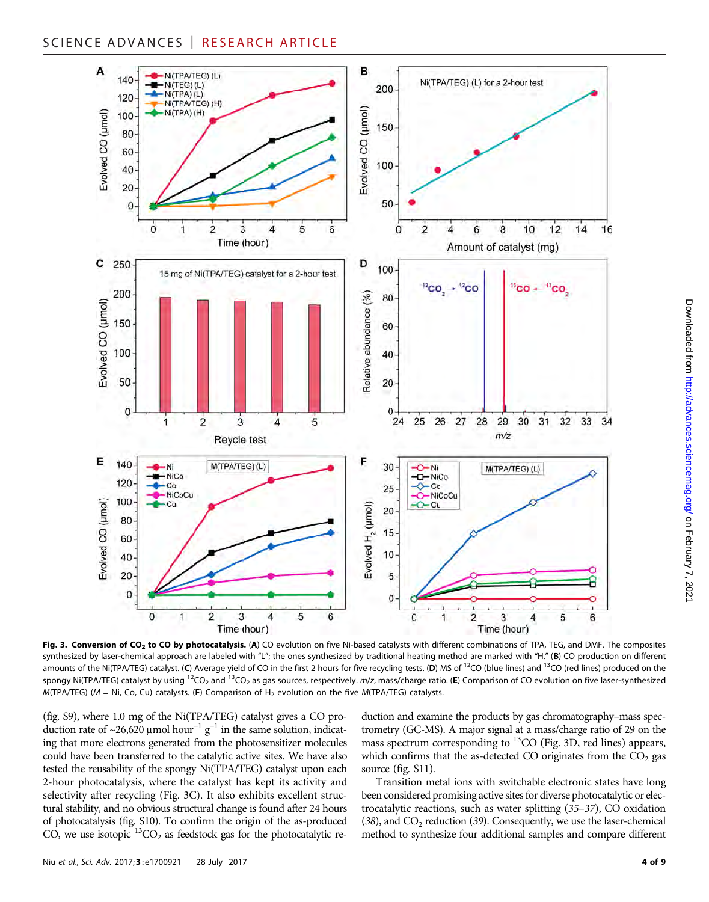

Fig. 3. Conversion of CO<sub>2</sub> to CO by photocatalysis. (A) CO evolution on five Ni-based catalysts with different combinations of TPA, TEG, and DMF. The composites synthesized by laser-chemical approach are labeled with "L"; the ones synthesized by traditional heating method are marked with "H." (B) CO production on different amounts of the Ni(TPA/TEG) catalyst. (C) Average yield of CO in the first 2 hours for five recycling tests. (D) MS of  $^{12}$ CO (blue lines) and  $^{13}$ CO (red lines) produced on the spongy Ni(TPA/TEG) catalyst by using <sup>12</sup>CO<sub>2</sub> and <sup>13</sup>CO<sub>2</sub> as gas sources, respectively. m/z, mass/charge ratio. (E) Comparison of CO evolution on five laser-synthesized M(TPA/TEG) ( $M = Ni$ , Co, Cu) catalysts. (F) Comparison of H<sub>2</sub> evolution on the five M(TPA/TEG) catalysts.

(fig. S9), where 1.0 mg of the Ni(TPA/TEG) catalyst gives a CO production rate of ~26,620 μmol hour<sup>-1</sup> g<sup>-1</sup> in the same solution, indicating that more electrons generated from the photosensitizer molecules could have been transferred to the catalytic active sites. We have also tested the reusability of the spongy Ni(TPA/TEG) catalyst upon each 2-hour photocatalysis, where the catalyst has kept its activity and selectivity after recycling (Fig. 3C). It also exhibits excellent structural stability, and no obvious structural change is found after 24 hours of photocatalysis (fig. S10). To confirm the origin of the as-produced CO, we use isotopic  ${}^{13}CO_2$  as feedstock gas for the photocatalytic reduction and examine the products by gas chromatography–mass spectrometry (GC-MS). A major signal at a mass/charge ratio of 29 on the mass spectrum corresponding to  ${}^{13}CO$  (Fig. 3D, red lines) appears, which confirms that the as-detected CO originates from the  $CO<sub>2</sub>$  gas source (fig. S11).

Transition metal ions with switchable electronic states have long been considered promising active sites for diverse photocatalytic or electrocatalytic reactions, such as water splitting (35–37), CO oxidation (38), and  $CO<sub>2</sub>$  reduction (39). Consequently, we use the laser-chemical method to synthesize four additional samples and compare different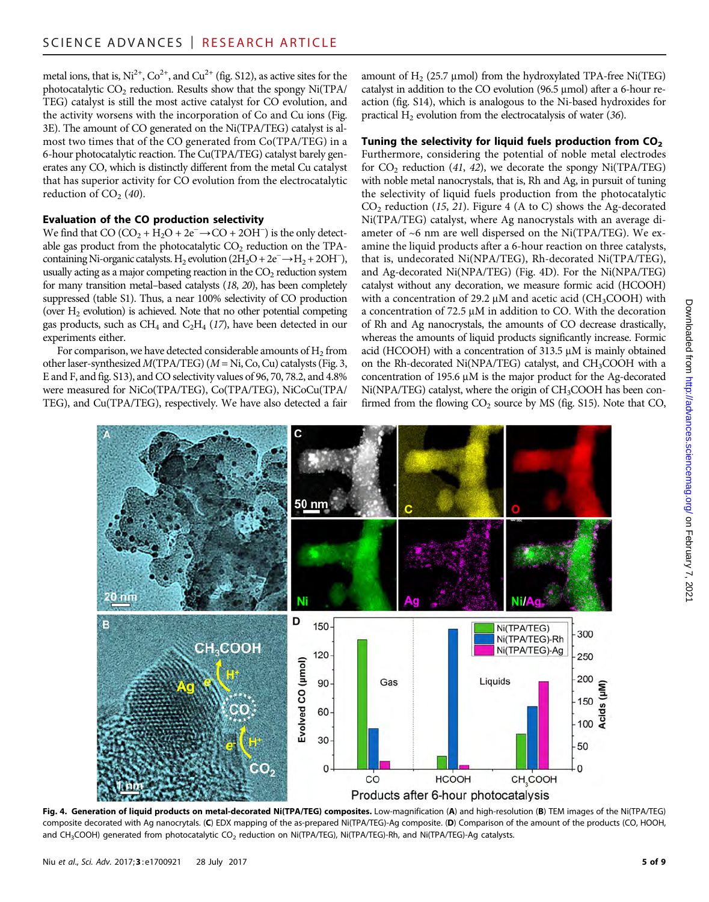metal ions, that is,  $Ni^{2+}$ ,  $Co^{2+}$ , and  $Cu^{2+}$  (fig. S12), as active sites for the photocatalytic  $CO<sub>2</sub>$  reduction. Results show that the spongy Ni(TPA/ TEG) catalyst is still the most active catalyst for CO evolution, and the activity worsens with the incorporation of Co and Cu ions (Fig. 3E). The amount of CO generated on the Ni(TPA/TEG) catalyst is almost two times that of the CO generated from Co(TPA/TEG) in a 6-hour photocatalytic reaction. The Cu(TPA/TEG) catalyst barely generates any CO, which is distinctly different from the metal Cu catalyst that has superior activity for CO evolution from the electrocatalytic reduction of  $CO<sub>2</sub>$  (40).

# Evaluation of the CO production selectivity

We find that CO  $(CO_2 + H_2O + 2e^- \rightarrow CO + 2OH^-)$  is the only detectable gas product from the photocatalytic  $CO<sub>2</sub>$  reduction on the TPAcontaining Ni-organic catalysts. H<sub>2</sub> evolution  $(2H_2O + 2e^- \rightarrow H_2 + 2OH^-)$ , usually acting as a major competing reaction in the  $CO<sub>2</sub>$  reduction system for many transition metal–based catalysts (18, 20), has been completely suppressed (table S1). Thus, a near 100% selectivity of CO production (over H2 evolution) is achieved. Note that no other potential competing gas products, such as  $CH_4$  and  $C_2H_4$  (17), have been detected in our experiments either.

For comparison, we have detected considerable amounts of  $H_2$  from other laser-synthesized  $M(TPA/TEG)$  ( $M = Ni$ , Co, Cu) catalysts (Fig. 3, E and F, and fig. S13), and CO selectivity values of 96, 70, 78.2, and 4.8% were measured for NiCo(TPA/TEG), Co(TPA/TEG), NiCoCu(TPA/ TEG), and Cu(TPA/TEG), respectively. We have also detected a fair amount of  $H_2$  (25.7 µmol) from the hydroxylated TPA-free Ni(TEG) catalyst in addition to the CO evolution (96.5  $\mu$ mol) after a 6-hour reaction (fig. S14), which is analogous to the Ni-based hydroxides for practical  $H_2$  evolution from the electrocatalysis of water (36).

# Tuning the selectivity for liquid fuels production from  $CO<sub>2</sub>$

Furthermore, considering the potential of noble metal electrodes for  $CO_2$  reduction (41, 42), we decorate the spongy Ni(TPA/TEG) with noble metal nanocrystals, that is, Rh and Ag, in pursuit of tuning the selectivity of liquid fuels production from the photocatalytic  $CO<sub>2</sub>$  reduction (15, 21). Figure 4 (A to C) shows the Ag-decorated Ni(TPA/TEG) catalyst, where Ag nanocrystals with an average diameter of ~6 nm are well dispersed on the Ni(TPA/TEG). We examine the liquid products after a 6-hour reaction on three catalysts, that is, undecorated Ni(NPA/TEG), Rh-decorated Ni(TPA/TEG), and Ag-decorated Ni(NPA/TEG) (Fig. 4D). For the Ni(NPA/TEG) catalyst without any decoration, we measure formic acid (HCOOH) with a concentration of 29.2  $\mu$ M and acetic acid (CH<sub>3</sub>COOH) with a concentration of  $72.5 \mu M$  in addition to CO. With the decoration of Rh and Ag nanocrystals, the amounts of CO decrease drastically, whereas the amounts of liquid products significantly increase. Formic acid (HCOOH) with a concentration of  $313.5 \mu$ M is mainly obtained on the Rh-decorated Ni(NPA/TEG) catalyst, and CH<sub>3</sub>COOH with a concentration of 195.6  $\mu$ M is the major product for the Ag-decorated  $Ni(NPA/TEG)$  catalyst, where the origin of  $CH<sub>3</sub>COOH$  has been confirmed from the flowing  $CO<sub>2</sub>$  source by MS (fig. S15). Note that  $CO$ ,



Fig. 4. Generation of liquid products on metal-decorated Ni(TPA/TEG) composites. Low-magnification (A) and high-resolution (B) TEM images of the Ni(TPA/TEG) composite decorated with Ag nanocrytals. (C) EDX mapping of the as-prepared Ni(TPA/TEG)-Ag composite. (D) Comparison of the amount of the products (CO, HOOH, and CH<sub>3</sub>COOH) generated from photocatalytic CO<sub>2</sub> reduction on Ni(TPA/TEG), Ni(TPA/TEG)-Rh, and Ni(TPA/TEG)-Ag catalysts.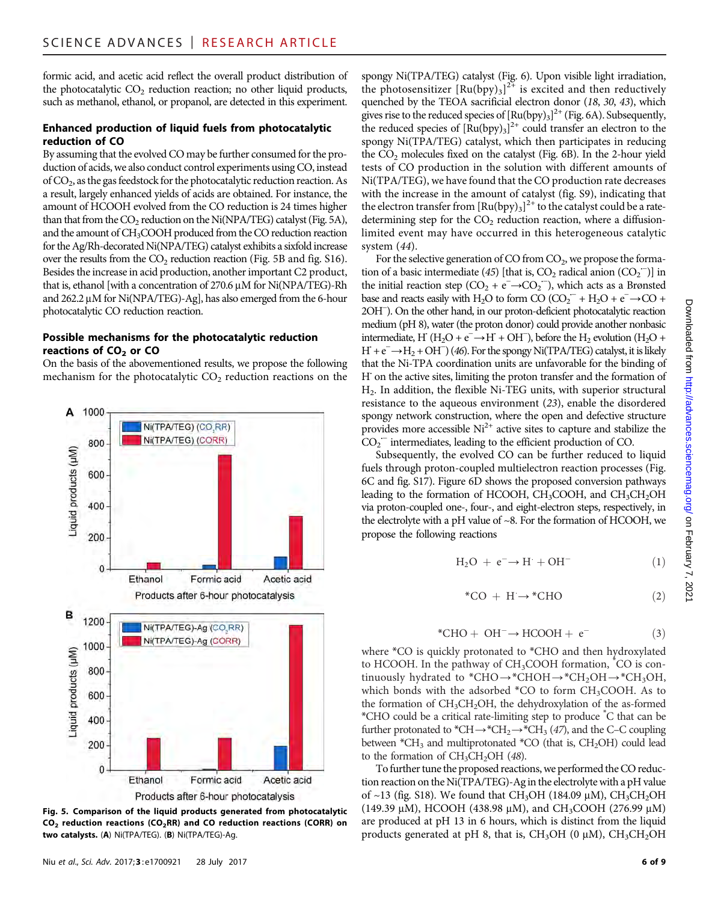formic acid, and acetic acid reflect the overall product distribution of the photocatalytic  $CO<sub>2</sub>$  reduction reaction; no other liquid products, such as methanol, ethanol, or propanol, are detected in this experiment.

# Enhanced production of liquid fuels from photocatalytic reduction of CO

By assuming that the evolved CO may be further consumed for the production of acids, we also conduct control experiments using CO, instead of CO2, as the gas feedstock for the photocatalytic reduction reaction. As a result, largely enhanced yields of acids are obtained. For instance, the amount of HCOOH evolved from the CO reduction is 24 times higher than that from the  $CO_2$  reduction on the Ni(NPA/TEG) catalyst (Fig. 5A), and the amount of CH3COOH produced from the CO reduction reaction for the Ag/Rh-decorated Ni(NPA/TEG) catalyst exhibits a sixfold increase over the results from the  $CO<sub>2</sub>$  reduction reaction (Fig. 5B and fig. S16). Besides the increase in acid production, another important C2 product, that is, ethanol [with a concentration of  $270.6 \mu M$  for Ni(NPA/TEG)-Rh and  $262.2 \mu M$  for Ni(NPA/TEG)-Ag], has also emerged from the 6-hour photocatalytic CO reduction reaction.

# Possible mechanisms for the photocatalytic reduction reactions of  $CO<sub>2</sub>$  or  $CO<sub>2</sub>$

On the basis of the abovementioned results, we propose the following mechanism for the photocatalytic  $CO<sub>2</sub>$  reduction reactions on the



Fig. 5. Comparison of the liquid products generated from photocatalytic  $CO<sub>2</sub>$  reduction reactions (CO<sub>2</sub>RR) and CO reduction reactions (CORR) on two catalysts. (A) Ni(TPA/TEG). (B) Ni(TPA/TEG)-Ag.

spongy Ni(TPA/TEG) catalyst (Fig. 6). Upon visible light irradiation, the photosensitizer  $[Ru(bpy)_3]^{2+}$  is excited and then reductively quenched by the TEOA sacrificial electron donor (18, 30, 43), which gives rise to the reduced species of  $[Ru(bpy)_3]^2$ <sup>+</sup> (Fig. 6A). Subsequently, the reduced species of  $[Ru(bpy)_3]^{2+}$  could transfer an electron to the spongy Ni(TPA/TEG) catalyst, which then participates in reducing the  $CO<sub>2</sub>$  molecules fixed on the catalyst (Fig. 6B). In the 2-hour yield tests of CO production in the solution with different amounts of Ni(TPA/TEG), we have found that the CO production rate decreases with the increase in the amount of catalyst (fig. S9), indicating that the electron transfer from  $\left[\mathrm{Ru(bpy)}_3\right]^{2+}$  to the catalyst could be a ratedetermining step for the  $CO<sub>2</sub>$  reduction reaction, where a diffusionlimited event may have occurred in this heterogeneous catalytic system (44).

For the selective generation of CO from  $CO<sub>2</sub>$ , we propose the formation of a basic intermediate (45) [that is,  $CO_2$  radical anion  $(CO_2^-)$ ] in the initial reaction step (CO<sub>2</sub> + e<sup>−→</sup>CO<sub>2</sub><sup>−</sup>), which acts as a Brønsted base and reacts easily with H<sub>2</sub>O to form CO (CO<sub>2</sub><sup>--</sup> + H<sub>2</sub>O + e<sup>-</sup> → CO + 2OH<sup>−</sup> ). On the other hand, in our proton-deficient photocatalytic reaction medium (pH 8), water (the proton donor) could provide another nonbasic intermediate, H<sup>°</sup> (H<sub>2</sub>O + e<sup> $-$ </sup> → H<sup>°</sup> + OH<sup>−</sup>), before the H<sub>2</sub> evolution (H<sub>2</sub>O +  $H + e^- \rightarrow H_2 + OH^-$ ) (46). For the spongy Ni(TPA/TEG) catalyst, it is likely that the Ni-TPA coordination units are unfavorable for the binding of H on the active sites, limiting the proton transfer and the formation of  $H<sub>2</sub>$ . In addition, the flexible Ni-TEG units, with superior structural resistance to the aqueous environment (23), enable the disordered spongy network construction, where the open and defective structure provides more accessible  $Ni<sup>2+</sup>$  active sites to capture and stabilize the CO2 ·<sup>−</sup> intermediates, leading to the efficient production of CO.

Subsequently, the evolved CO can be further reduced to liquid fuels through proton-coupled multielectron reaction processes (Fig. 6C and fig. S17). Figure 6D shows the proposed conversion pathways leading to the formation of HCOOH, CH<sub>3</sub>COOH, and  $CH_3CH_2OH$ via proton-coupled one-, four-, and eight-electron steps, respectively, in the electrolyte with a pH value of ~8. For the formation of HCOOH, we propose the following reactions

$$
H_2O + e^- \rightarrow H^- + OH^-
$$
 (1)

$$
^{\ast}CO~+~H\rightarrow {}^{\ast}CHO \qquad \qquad (2)
$$

$$
*CHO + OH^- \rightarrow HCOOH + e^-
$$
 (3)

where \*CO is quickly protonated to \*CHO and then hydroxylated to HCOOH. In the pathway of  $CH<sub>3</sub>COOH$  formation,  $^*CO$  is continuously hydrated to \*CHO→\*CHOH→\*CH<sub>2</sub>OH→\*CH<sub>3</sub>OH, which bonds with the adsorbed  $^*CO$  to form  $CH_3COOH$ . As to the formation of CH<sub>3</sub>CH<sub>2</sub>OH, the dehydroxylation of the as-formed \*CHO could be a critical rate-limiting step to produce \* C that can be further protonated to \*CH→\*CH<sub>2</sub>→\*CH<sub>3</sub> (47), and the C–C coupling between  $^*CH_3$  and multiprotonated  $^*CO$  (that is,  $CH_2OH$ ) could lead to the formation of  $CH_3CH_2OH$  (48).

To further tune the proposed reactions, we performed the CO reduction reaction on the Ni(TPA/TEG)-Ag in the electrolyte with a pH value of ~13 (fig. S18). We found that CH<sub>3</sub>OH (184.09  $\mu$ M), CH<sub>3</sub>CH<sub>2</sub>OH (149.39  $\mu$ M), HCOOH (438.98  $\mu$ M), and CH<sub>3</sub>COOH (276.99  $\mu$ M) are produced at pH 13 in 6 hours, which is distinct from the liquid products generated at pH 8, that is,  $CH<sub>3</sub>OH$  (0  $\mu$ M),  $CH<sub>3</sub>CH<sub>2</sub>OH$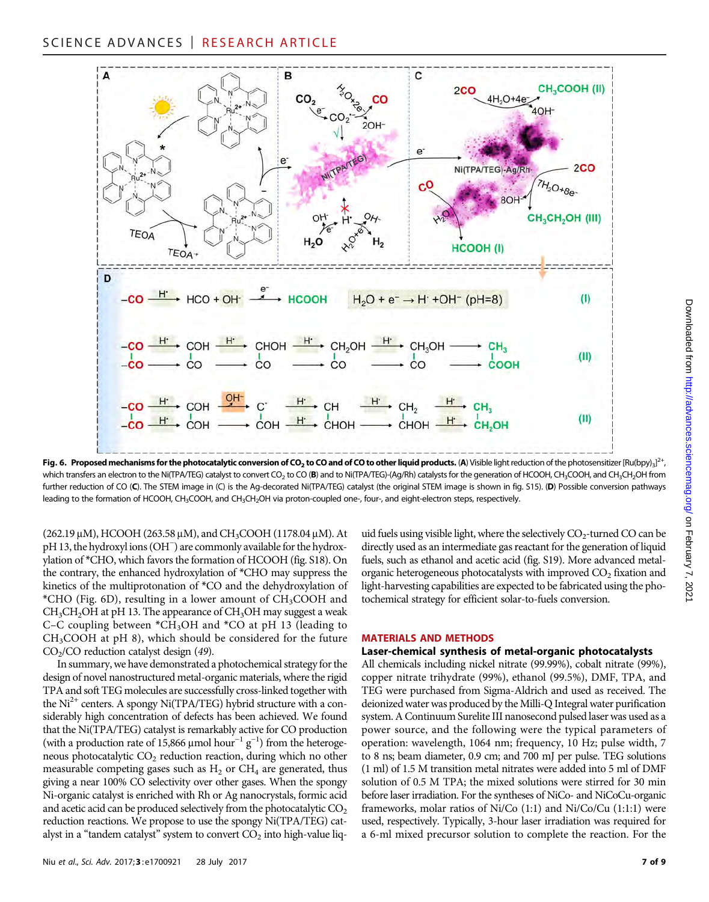

Fig. 6. Proposed mechanisms for the photocatalytic conversion of CO<sub>2</sub> to CO and of CO to other liquid products. (A) Visible light reduction of the photosensitizer [Ru(bpy)<sub>3</sub>]<sup>2+</sup>, which transfers an electron to the Ni(TPA/TEG) catalyst to convert CO<sub>2</sub> to CO (B) and to Ni(TPA/TEG)-(Ag/Rh) catalysts for the generation of HCOOH, CH<sub>3</sub>COOH, and CH<sub>3</sub>CH<sub>2</sub>OH from further reduction of CO (C). The STEM image in (C) is the Ag-decorated Ni(TPA/TEG) catalyst (the original STEM image is shown in fig. S15). (D) Possible conversion pathways leading to the formation of HCOOH, CH<sub>3</sub>COOH, and CH<sub>3</sub>CH<sub>2</sub>OH via proton-coupled one-, four-, and eight-electron steps, respectively.

 $(262.19 \,\mu M)$ , HCOOH  $(263.58 \,\mu M)$ , and CH<sub>3</sub>COOH  $(1178.04 \,\mu M)$ . At pH 13, the hydroxyl ions (OH<sup>−</sup> ) are commonly available for the hydroxylation of \*CHO, which favors the formation of HCOOH (fig. S18). On the contrary, the enhanced hydroxylation of \*CHO may suppress the kinetics of the multiprotonation of \*CO and the dehydroxylation of \*CHO (Fig. 6D), resulting in a lower amount of CH3COOH and  $CH<sub>3</sub>CH<sub>2</sub>OH$  at pH 13. The appearance of  $CH<sub>3</sub>OH$  may suggest a weak C–C coupling between  $*CH_3OH$  and  $*CO$  at pH 13 (leading to CH3COOH at pH 8), which should be considered for the future  $CO<sub>2</sub>/CO$  reduction catalyst design (49).

In summary, we have demonstrated a photochemical strategy for the design of novel nanostructured metal-organic materials, where the rigid TPA and soft TEG molecules are successfully cross-linked together with the  $Ni<sup>2+</sup>$  centers. A spongy Ni(TPA/TEG) hybrid structure with a considerably high concentration of defects has been achieved. We found that the Ni(TPA/TEG) catalyst is remarkably active for CO production (with a production rate of 15,866 µmol hour<sup>-1</sup> g<sup>-1</sup>) from the heterogeneous photocatalytic  $CO<sub>2</sub>$  reduction reaction, during which no other measurable competing gases such as  $H_2$  or  $CH_4$  are generated, thus giving a near 100% CO selectivity over other gases. When the spongy Ni-organic catalyst is enriched with Rh or Ag nanocrystals, formic acid and acetic acid can be produced selectively from the photocatalytic  $CO<sub>2</sub>$ reduction reactions. We propose to use the spongy Ni(TPA/TEG) catalyst in a "tandem catalyst" system to convert  $CO<sub>2</sub>$  into high-value liquid fuels using visible light, where the selectively  $CO_2$ -turned CO can be directly used as an intermediate gas reactant for the generation of liquid fuels, such as ethanol and acetic acid (fig. S19). More advanced metalorganic heterogeneous photocatalysts with improved  $CO<sub>2</sub>$  fixation and light-harvesting capabilities are expected to be fabricated using the photochemical strategy for efficient solar-to-fuels conversion.

#### MATERIALS AND METHODS

#### Laser-chemical synthesis of metal-organic photocatalysts

All chemicals including nickel nitrate (99.99%), cobalt nitrate (99%), copper nitrate trihydrate (99%), ethanol (99.5%), DMF, TPA, and TEG were purchased from Sigma-Aldrich and used as received. The deionized water was produced by the Milli-Q Integral water purification system. A Continuum Surelite III nanosecond pulsed laser was used as a power source, and the following were the typical parameters of operation: wavelength, 1064 nm; frequency, 10 Hz; pulse width, 7 to 8 ns; beam diameter, 0.9 cm; and 700 mJ per pulse. TEG solutions (1 ml) of 1.5 M transition metal nitrates were added into 5 ml of DMF solution of 0.5 M TPA; the mixed solutions were stirred for 30 min before laser irradiation. For the syntheses of NiCo- and NiCoCu-organic frameworks, molar ratios of Ni/Co (1:1) and Ni/Co/Cu (1:1:1) were used, respectively. Typically, 3-hour laser irradiation was required for a 6-ml mixed precursor solution to complete the reaction. For the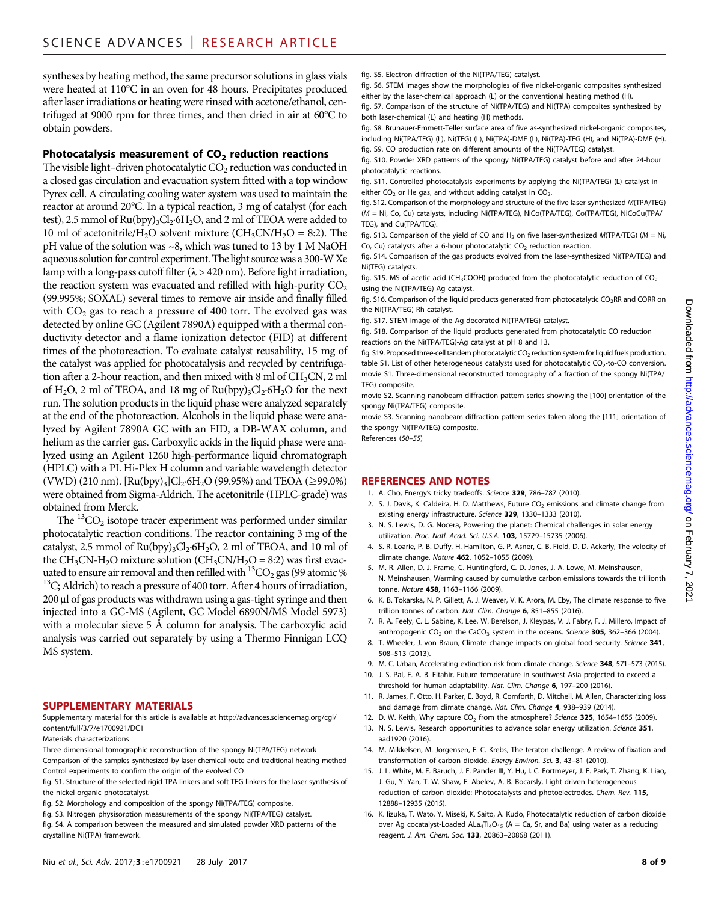syntheses by heating method, the same precursor solutions in glass vials were heated at 110°C in an oven for 48 hours. Precipitates produced after laser irradiations or heating were rinsed with acetone/ethanol, centrifuged at 9000 rpm for three times, and then dried in air at 60°C to obtain powders.

### Photocatalysis measurement of  $CO<sub>2</sub>$  reduction reactions

The visible light–driven photocatalytic  $CO<sub>2</sub>$  reduction was conducted in a closed gas circulation and evacuation system fitted with a top window Pyrex cell. A circulating cooling water system was used to maintain the reactor at around 20°C. In a typical reaction, 3 mg of catalyst (for each test), 2.5 mmol of  $Ru(bpy)_3Cl_2.6H_2O$ , and 2 ml of TEOA were added to 10 ml of acetonitrile/H<sub>2</sub>O solvent mixture (CH<sub>3</sub>CN/H<sub>2</sub>O = 8:2). The pH value of the solution was ~8, which was tuned to 13 by 1 M NaOH aqueous solution for control experiment. The light source was a 300-W Xe lamp with a long-pass cutoff filter  $(\lambda > 420 \text{ nm})$ . Before light irradiation, the reaction system was evacuated and refilled with high-purity  $CO<sub>2</sub>$ (99.995%; SOXAL) several times to remove air inside and finally filled with  $CO<sub>2</sub>$  gas to reach a pressure of 400 torr. The evolved gas was detected by online GC (Agilent 7890A) equipped with a thermal conductivity detector and a flame ionization detector (FID) at different times of the photoreaction. To evaluate catalyst reusability, 15 mg of the catalyst was applied for photocatalysis and recycled by centrifugation after a 2-hour reaction, and then mixed with 8 ml of  $CH<sub>3</sub>CN$ , 2 ml of H<sub>2</sub>O, 2 ml of TEOA, and 18 mg of  $Ru(bpy)_{3}Cl_{2}·6H_{2}O$  for the next run. The solution products in the liquid phase were analyzed separately at the end of the photoreaction. Alcohols in the liquid phase were analyzed by Agilent 7890A GC with an FID, a DB-WAX column, and helium as the carrier gas. Carboxylic acids in the liquid phase were analyzed using an Agilent 1260 high-performance liquid chromatograph (HPLC) with a PL Hi-Plex H column and variable wavelength detector (VWD) (210 nm).  $[Ru(bpy)_3]Cl_2·6H_2O$  (99.95%) and TEOA ( $\geq$ 99.0%) were obtained from Sigma-Aldrich. The acetonitrile (HPLC-grade) was obtained from Merck.

The  ${}^{13}CO_2$  isotope tracer experiment was performed under similar photocatalytic reaction conditions. The reactor containing 3 mg of the catalyst, 2.5 mmol of  $Ru(bpy)_3Cl_2·6H_2O$ , 2 ml of TEOA, and 10 ml of the CH<sub>3</sub>CN-H<sub>2</sub>O mixture solution (CH<sub>3</sub>CN/H<sub>2</sub>O = 8:2) was first evacuated to ensure air removal and then refilled with  $^{13}CO_2$  gas (99 atomic %  $^{13}C$ ; Aldrich) to reach a pressure of 400 torr. After 4 hours of irradiation, 200 µl of gas products was withdrawn using a gas-tight syringe and then injected into a GC-MS (Agilent, GC Model 6890N/MS Model 5973) with a molecular sieve 5 Å column for analysis. The carboxylic acid analysis was carried out separately by using a Thermo Finnigan LCQ MS system.

#### SUPPLEMENTARY MATERIALS

Supplementary material for this article is available at [http://advances.sciencemag.org/cgi/](http://advances.sciencemag.org/cgi/content/full/3/7/e1700921/DC1) [content/full/3/7/e1700921/DC1](http://advances.sciencemag.org/cgi/content/full/3/7/e1700921/DC1)

Materials characterizations

Three-dimensional tomographic reconstruction of the spongy Ni(TPA/TEG) network Comparison of the samples synthesized by laser-chemical route and traditional heating method

Control experiments to confirm the origin of the evolved CO fig. S1. Structure of the selected rigid TPA linkers and soft TEG linkers for the laser synthesis of

the nickel-organic photocatalyst.

fig. S2. Morphology and composition of the spongy Ni(TPA/TEG) composite.

fig. S3. Nitrogen physisorption measurements of the spongy Ni(TPA/TEG) catalyst.

fig. S4. A comparison between the measured and simulated powder XRD patterns of the crystalline Ni(TPA) framework.

fig. S5. Electron diffraction of the Ni(TPA/TEG) catalyst.

fig. S6. STEM images show the morphologies of five nickel-organic composites synthesized either by the laser-chemical approach (L) or the conventional heating method (H).

fig. S7. Comparison of the structure of Ni(TPA/TEG) and Ni(TPA) composites synthesized by both laser-chemical (L) and heating (H) methods.

fig. S8. Brunauer-Emmett-Teller surface area of five as-synthesized nickel-organic composites, including Ni(TPA/TEG) (L), Ni(TEG) (L), Ni(TPA)-DMF (L), Ni(TPA)-TEG (H), and Ni(TPA)-DMF (H). fig. S9. CO production rate on different amounts of the Ni(TPA/TEG) catalyst.

fig. S10. Powder XRD patterns of the spongy Ni(TPA/TEG) catalyst before and after 24-hour photocatalytic reactions.

fig. S11. Controlled photocatalysis experiments by applying the Ni(TPA/TEG) (L) catalyst in either  $CO<sub>2</sub>$  or He gas, and without adding catalyst in  $CO<sub>2</sub>$ .

fig. S12. Comparison of the morphology and structure of the five laser-synthesized M(TPA/TEG) (M = Ni, Co, Cu) catalysts, including Ni(TPA/TEG), NiCo(TPA/TEG), Co(TPA/TEG), NiCoCu(TPA/ TEG), and Cu(TPA/TEG).

fig. S13. Comparison of the yield of CO and H<sub>2</sub> on five laser-synthesized M(TPA/TEG) ( $M = Ni$ , Co, Cu) catalysts after a 6-hour photocatalytic  $CO<sub>2</sub>$  reduction reaction

fig. S14. Comparison of the gas products evolved from the laser-synthesized Ni(TPA/TEG) and Ni(TEG) catalysts.

fig. S15. MS of acetic acid (CH<sub>3</sub>COOH) produced from the photocatalytic reduction of CO<sub>2</sub> using the Ni(TPA/TEG)-Ag catalyst.

fig. S16. Comparison of the liquid products generated from photocatalytic CO<sub>2</sub>RR and CORR on the Ni(TPA/TEG)-Rh catalyst.

fig. S17. STEM image of the Ag-decorated Ni(TPA/TEG) catalyst.

fig. S18. Comparison of the liquid products generated from photocatalytic CO reduction reactions on the Ni(TPA/TEG)-Ag catalyst at pH 8 and 13.

fig. S19. Proposed three-cell tandem photocatalytic  $CO<sub>2</sub>$  reduction system for liquid fuels production. table S1. List of other heterogeneous catalysts used for photocatalytic  $CO<sub>2</sub>$ -to-CO conversion. movie S1. Three-dimensional reconstructed tomography of a fraction of the spongy Ni(TPA/ TEG) composite.

movie S2. Scanning nanobeam diffraction pattern series showing the [100] orientation of the spongy Ni(TPA/TEG) composite.

movie S3. Scanning nanobeam diffraction pattern series taken along the [111] orientation of the spongy Ni(TPA/TEG) composite.

References (50–55)

# REFERENCES AND NOTES

- 1. A. Cho, Energy's tricky tradeoffs. Science 329, 786–787 (2010).
- 2. S. J. Davis, K. Caldeira, H. D. Matthews, Future  $CO<sub>2</sub>$  emissions and climate change from existing energy infrastructure. Science 329, 1330–1333 (2010).
- 3. N. S. Lewis, D. G. Nocera, Powering the planet: Chemical challenges in solar energy utilization. Proc. Natl. Acad. Sci. U.S.A. 103, 15729–15735 (2006).
- 4. S. R. Loarie, P. B. Duffy, H. Hamilton, G. P. Asner, C. B. Field, D. D. Ackerly, The velocity of climate change. Nature 462, 1052–1055 (2009).
- 5. M. R. Allen, D. J. Frame, C. Huntingford, C. D. Jones, J. A. Lowe, M. Meinshausen, N. Meinshausen, Warming caused by cumulative carbon emissions towards the trillionth tonne. Nature 458, 1163–1166 (2009).
- 6. K. B. Tokarska, N. P. Gillett, A. J. Weaver, V. K. Arora, M. Eby, The climate response to five trillion tonnes of carbon. Nat. Clim. Change 6, 851-855 (2016).
- 7. R. A. Feely, C. L. Sabine, K. Lee, W. Berelson, J. Kleypas, V. J. Fabry, F. J. Millero, Impact of anthropogenic  $CO<sub>2</sub>$  on the CaCO<sub>3</sub> system in the oceans. Science **305**, 362–366 (2004).
- 8. T. Wheeler, J. von Braun, Climate change impacts on global food security. Science 341, 508–513 (2013).
- 9. M. C. Urban, Accelerating extinction risk from climate change. Science 348, 571-573 (2015).
- 10. J. S. Pal, E. A. B. Eltahir, Future temperature in southwest Asia projected to exceed a threshold for human adaptability. Nat. Clim. Change 6, 197-200 (2016).
- 11. R. James, F. Otto, H. Parker, E. Boyd, R. Cornforth, D. Mitchell, M. Allen, Characterizing loss and damage from climate change. Nat. Clim. Change 4, 938–939 (2014).
- 12. D. W. Keith, Why capture  $CO<sub>2</sub>$  from the atmosphere? Science 325, 1654-1655 (2009).
- 13. N. S. Lewis, Research opportunities to advance solar energy utilization. Science 351, aad1920 (2016).
- 14. M. Mikkelsen, M. Jorgensen, F. C. Krebs, The teraton challenge. A review of fixation and transformation of carbon dioxide. Energy Environ. Sci. 3, 43–81 (2010).
- 15. J. L. White, M. F. Baruch, J. E. Pander III, Y. Hu, I. C. Fortmeyer, J. E. Park, T. Zhang, K. Liao, J. Gu, Y. Yan, T. W. Shaw, E. Abelev, A. B. Bocarsly, Light-driven heterogeneous reduction of carbon dioxide: Photocatalysts and photoelectrodes. Chem. Rev. 115, 12888–12935 (2015).
- 16. K. Iizuka, T. Wato, Y. Miseki, K. Saito, A. Kudo, Photocatalytic reduction of carbon dioxide over Ag cocatalyst-Loaded ALa<sub>4</sub>Ti<sub>4</sub>O<sub>15</sub> (A = Ca, Sr, and Ba) using water as a reducing reagent. J. Am. Chem. Soc. 133, 20863–20868 (2011).

Downloaded from http://advances.sciencemag.org/ on February 7, 2021 Downloaded from <http://advances.sciencemag.org/> on February 7, 2021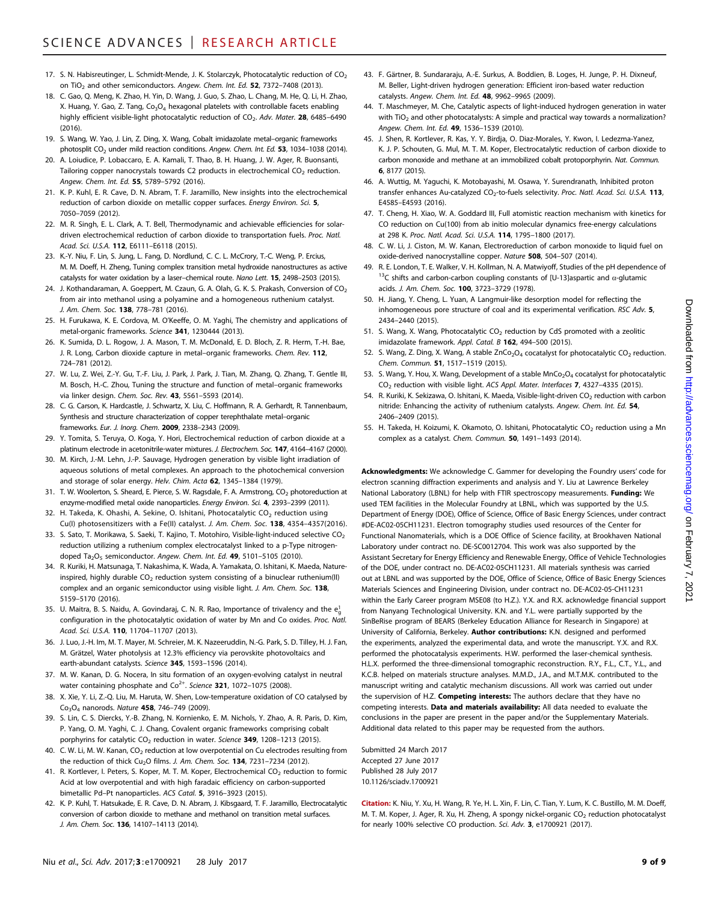- 17. S. N. Habisreutinger, L. Schmidt-Mende, J. K. Stolarczyk, Photocatalytic reduction of  $CO<sub>2</sub>$ on TiO<sub>2</sub> and other semiconductors. Angew. Chem. Int. Ed. 52, 7372-7408 (2013).
- 18. C. Gao, Q. Meng, K. Zhao, H. Yin, D. Wang, J. Guo, S. Zhao, L. Chang, M. He, Q. Li, H. Zhao, X. Huang, Y. Gao, Z. Tang,  $Co<sub>3</sub>O<sub>4</sub>$  hexagonal platelets with controllable facets enabling highly efficient visible-light photocatalytic reduction of  $CO<sub>2</sub>$ . Adv. Mater. 28, 6485-6490 (2016).
- 19. S. Wang, W. Yao, J. Lin, Z. Ding, X. Wang, Cobalt imidazolate metal–organic frameworks photosplit CO<sub>2</sub> under mild reaction conditions. Angew. Chem. Int. Ed. 53, 1034-1038 (2014).
- 20. A. Loiudice, P. Lobaccaro, E. A. Kamali, T. Thao, B. H. Huang, J. W. Ager, R. Buonsanti, Tailoring copper nanocrystals towards C2 products in electrochemical  $CO<sub>2</sub>$  reduction. Angew. Chem. Int. Ed. 55, 5789–5792 (2016).
- 21. K. P. Kuhl, E. R. Cave, D. N. Abram, T. F. Jaramillo, New insights into the electrochemical reduction of carbon dioxide on metallic copper surfaces. Energy Environ. Sci. 5, 7050–7059 (2012).
- 22. M. R. Singh, E. L. Clark, A. T. Bell, Thermodynamic and achievable efficiencies for solardriven electrochemical reduction of carbon dioxide to transportation fuels. Proc. Natl. Acad. Sci. U.S.A. 112, E6111-E6118 (2015).
- 23. K.-Y. Niu, F. Lin, S. Jung, L. Fang, D. Nordlund, C. C. L. McCrory, T.-C. Weng, P. Ercius, M. M. Doeff, H. Zheng, Tuning complex transition metal hydroxide nanostructures as active catalysts for water oxidation by a laser–chemical route. Nano Lett. 15, 2498–2503 (2015).
- 24. J. Kothandaraman, A. Goeppert, M. Czaun, G. A. Olah, G. K. S. Prakash, Conversion of  $CO<sub>2</sub>$ from air into methanol using a polyamine and a homogeneous ruthenium catalyst. J. Am. Chem. Soc. 138, 778-781 (2016).
- 25. H. Furukawa, K. E. Cordova, M. O'Keeffe, O. M. Yaghi, The chemistry and applications of metal-organic frameworks. Science 341, 1230444 (2013).
- 26. K. Sumida, D. L. Rogow, J. A. Mason, T. M. McDonald, E. D. Bloch, Z. R. Herm, T.-H. Bae, J. R. Long, Carbon dioxide capture in metal–organic frameworks. Chem. Rev. 112, 724–781 (2012).
- 27. W. Lu, Z. Wei, Z.-Y. Gu, T.-F. Liu, J. Park, J. Park, J. Tian, M. Zhang, Q. Zhang, T. Gentle III, M. Bosch, H.-C. Zhou, Tuning the structure and function of metal–organic frameworks via linker design. Chem. Soc. Rev. 43, 5561–5593 (2014).
- 28. C. G. Carson, K. Hardcastle, J. Schwartz, X. Liu, C. Hoffmann, R. A. Gerhardt, R. Tannenbaum, Synthesis and structure characterization of copper terephthalate metal–organic frameworks. Eur. J. Inorg. Chem. 2009, 2338–2343 (2009).
- 29. Y. Tomita, S. Teruya, O. Koga, Y. Hori, Electrochemical reduction of carbon dioxide at a platinum electrode in acetonitrile‐water mixtures. J. Electrochem. Soc. 147, 4164–4167 (2000).
- 30. M. Kirch, J.-M. Lehn, J.-P. Sauvage, Hydrogen generation by visible light irradiation of aqueous solutions of metal complexes. An approach to the photochemical conversion and storage of solar energy. Helv. Chim. Acta 62, 1345-1384 (1979).
- 31. T. W. Woolerton, S. Sheard, E. Pierce, S. W. Ragsdale, F. A. Armstrong, CO<sub>2</sub> photoreduction at enzyme-modified metal oxide nanoparticles. Energy Environ. Sci. 4, 2393-2399 (2011).
- 32. H. Takeda, K. Ohashi, A. Sekine, O. Ishitani, Photocatalytic  $CO<sub>2</sub>$  reduction using Cu(I) photosensitizers with a Fe(II) catalyst. J. Am. Chem. Soc. 138, 4354–4357(2016).
- 33. S. Sato, T. Morikawa, S. Saeki, T. Kajino, T. Motohiro, Visible-light-induced selective CO<sub>2</sub> reduction utilizing a ruthenium complex electrocatalyst linked to a p-Type nitrogendoped Ta<sub>2</sub>O<sub>5</sub> semiconductor. Angew. Chem. Int. Ed. 49, 5101-5105 (2010).
- 34. R. Kuriki, H. Matsunaga, T. Nakashima, K. Wada, A. Yamakata, O. Ishitani, K. Maeda, Natureinspired, highly durable  $CO<sub>2</sub>$  reduction system consisting of a binuclear ruthenium(II) complex and an organic semiconductor using visible light. J. Am. Chem. Soc. 138, 5159–5170 (2016).
- 35. U. Maitra, B. S. Naidu, A. Govindaraj, C. N. R. Rao, Importance of trivalency and the  $e^1_g$ configuration in the photocatalytic oxidation of water by Mn and Co oxides. Proc. Natl. Acad. Sci. U.S.A. 110. 11704-11707 (2013).
- 36. J. Luo, J.-H. Im, M. T. Mayer, M. Schreier, M. K. Nazeeruddin, N.-G. Park, S. D. Tilley, H. J. Fan, M. Grätzel, Water photolysis at 12.3% efficiency via perovskite photovoltaics and earth-abundant catalysts. Science 345, 1593–1596 (2014).
- 37. M. W. Kanan, D. G. Nocera, In situ formation of an oxygen-evolving catalyst in neutral water containing phosphate and  $Co^{2+}$ . Science 321, 1072-1075 (2008).
- 38. X. Xie, Y. Li, Z.-Q. Liu, M. Haruta, W. Shen, Low-temperature oxidation of CO catalysed by  $Co<sub>3</sub>O<sub>4</sub>$  nanorods. Nature 458, 746-749 (2009).
- 39. S. Lin, C. S. Diercks, Y.-B. Zhang, N. Kornienko, E. M. Nichols, Y. Zhao, A. R. Paris, D. Kim, P. Yang, O. M. Yaghi, C. J. Chang, Covalent organic frameworks comprising cobalt porphyrins for catalytic  $CO<sub>2</sub>$  reduction in water. Science 349, 1208-1213 (2015).
- 40. C. W. Li, M. W. Kanan,  $CO<sub>2</sub>$  reduction at low overpotential on Cu electrodes resulting from the reduction of thick  $Cu<sub>2</sub>O$  films. J. Am. Chem. Soc. 134, 7231-7234 (2012).
- 41. R. Kortlever, I. Peters, S. Koper, M. T. M. Koper, Electrochemical CO<sub>2</sub> reduction to formic Acid at low overpotential and with high faradaic efficiency on carbon-supported bimetallic Pd–Pt nanoparticles. ACS Catal. 5, 3916–3923 (2015).
- 42. K. P. Kuhl, T. Hatsukade, E. R. Cave, D. N. Abram, J. Kibsgaard, T. F. Jaramillo, Electrocatalytic conversion of carbon dioxide to methane and methanol on transition metal surfaces. J. Am. Chem. Soc. 136, 14107–14113 (2014).
- 43. F. Gärtner, B. Sundararaju, A.-E. Surkus, A. Boddien, B. Loges, H. Junge, P. H. Dixneuf, M. Beller, Light-driven hydrogen generation: Efficient iron-based water reduction catalysts. Angew. Chem. Int. Ed. 48, 9962–9965 (2009).
- 44. T. Maschmeyer, M. Che, Catalytic aspects of light-induced hydrogen generation in water with  $TiO<sub>2</sub>$  and other photocatalysts: A simple and practical way towards a normalization? Angew. Chem. Int. Ed. 49, 1536–1539 (2010).
- 45. J. Shen, R. Kortlever, R. Kas, Y. Y. Birdja, O. Diaz-Morales, Y. Kwon, I. Ledezma-Yanez, K. J. P. Schouten, G. Mul, M. T. M. Koper, Electrocatalytic reduction of carbon dioxide to carbon monoxide and methane at an immobilized cobalt protoporphyrin. Nat. Commun. 6, 8177 (2015).
- 46. A. Wuttig, M. Yaguchi, K. Motobayashi, M. Osawa, Y. Surendranath, Inhibited proton transfer enhances Au-catalyzed CO<sub>2</sub>-to-fuels selectivity. Proc. Natl. Acad. Sci. U.S.A. 113, E4585–E4593 (2016).
- 47. T. Cheng, H. Xiao, W. A. Goddard III, Full atomistic reaction mechanism with kinetics for CO reduction on Cu(100) from ab initio molecular dynamics free-energy calculations at 298 K. Proc. Natl. Acad. Sci. U.S.A. 114, 1795–1800 (2017).
- 48. C. W. Li, J. Ciston, M. W. Kanan, Electroreduction of carbon monoxide to liquid fuel on oxide-derived nanocrystalline copper. Nature 508, 504-507 (2014).
- 49. R. E. London, T. E. Walker, V. H. Kollman, N. A. Matwiyoff, Studies of the pH dependence of <sup>13</sup>C shifts and carbon-carbon coupling constants of [U-13]aspartic and  $\alpha$ -glutamic acids. J. Am. Chem. Soc. 100, 3723–3729 (1978).
- 50. H. Jiang, Y. Cheng, L. Yuan, A Langmuir-like desorption model for reflecting the inhomogeneous pore structure of coal and its experimental verification. RSC Adv. 5, 2434–2440 (2015).
- 51. S. Wang, X. Wang, Photocatalytic  $CO<sub>2</sub>$  reduction by CdS promoted with a zeolitic imidazolate framework. Appl. Catal. B 162, 494-500 (2015).
- 52. S. Wang, Z. Ding, X. Wang, A stable ZnCo<sub>2</sub>O<sub>4</sub> cocatalyst for photocatalytic CO<sub>2</sub> reduction. Chem. Commun. 51, 1517–1519 (2015).
- 53. S. Wang, Y. Hou, X. Wang, Development of a stable MnCo<sub>2</sub>O<sub>4</sub> cocatalyst for photocatalytic CO<sub>2</sub> reduction with visible light. ACS Appl. Mater. Interfaces 7, 4327-4335 (2015).
- 54. R. Kuriki, K. Sekizawa, O. Ishitani, K. Maeda, Visible-light-driven CO<sub>2</sub> reduction with carbon nitride: Enhancing the activity of ruthenium catalysts. Angew. Chem. Int. Ed. 54, 2406–2409 (2015).
- 55. H. Takeda, H. Koizumi, K. Okamoto, O. Ishitani, Photocatalytic  $CO<sub>2</sub>$  reduction using a Mn complex as a catalyst. Chem. Commun. 50, 1491–1493 (2014).

Acknowledgments: We acknowledge C. Gammer for developing the Foundry users' code for electron scanning diffraction experiments and analysis and Y. Liu at Lawrence Berkeley National Laboratory (LBNL) for help with FTIR spectroscopy measurements. Funding: We used TEM facilities in the Molecular Foundry at LBNL, which was supported by the U.S. Department of Energy (DOE), Office of Science, Office of Basic Energy Sciences, under contract #DE-AC02-05CH11231. Electron tomography studies used resources of the Center for Functional Nanomaterials, which is a DOE Office of Science facility, at Brookhaven National Laboratory under contract no. DE-SC0012704. This work was also supported by the Assistant Secretary for Energy Efficiency and Renewable Energy, Office of Vehicle Technologies of the DOE, under contract no. DE-AC02-05CH11231. All materials synthesis was carried out at LBNL and was supported by the DOE, Office of Science, Office of Basic Energy Sciences Materials Sciences and Engineering Division, under contract no. DE-AC02-05-CH11231 within the Early Career program MSE08 (to H.Z.). Y.X. and R.X. acknowledge financial support from Nanyang Technological University. K.N. and Y.L. were partially supported by the SinBeRise program of BEARS (Berkeley Education Alliance for Research in Singapore) at University of California, Berkeley. **Author contributions:** K.N. designed and performed the experiments, analyzed the experimental data, and wrote the manuscript. Y.X. and R.X. performed the photocatalysis experiments. H.W. performed the laser-chemical synthesis. H.L.X. performed the three-dimensional tomographic reconstruction. R.Y., F.L., C.T., Y.L., and K.C.B. helped on materials structure analyses. M.M.D., J.A., and M.T.M.K. contributed to the manuscript writing and catalytic mechanism discussions. All work was carried out under the supervision of H.Z. Competing interests: The authors declare that they have no competing interests. Data and materials availability: All data needed to evaluate the conclusions in the paper are present in the paper and/or the Supplementary Materials. Additional data related to this paper may be requested from the authors.

Submitted 24 March 2017 Accepted 27 June 2017 Published 28 July 2017 10.1126/sciadv.1700921

Citation: K. Niu, Y. Xu, H. Wang, R. Ye, H. L. Xin, F. Lin, C. Tian, Y. Lum, K. C. Bustillo, M. M. Doeff, M. T. M. Koper, J. Ager, R. Xu, H. Zheng, A spongy nickel-organic  $CO<sub>2</sub>$  reduction photocatalyst for nearly 100% selective CO production. Sci. Adv. 3, e1700921 (2017).